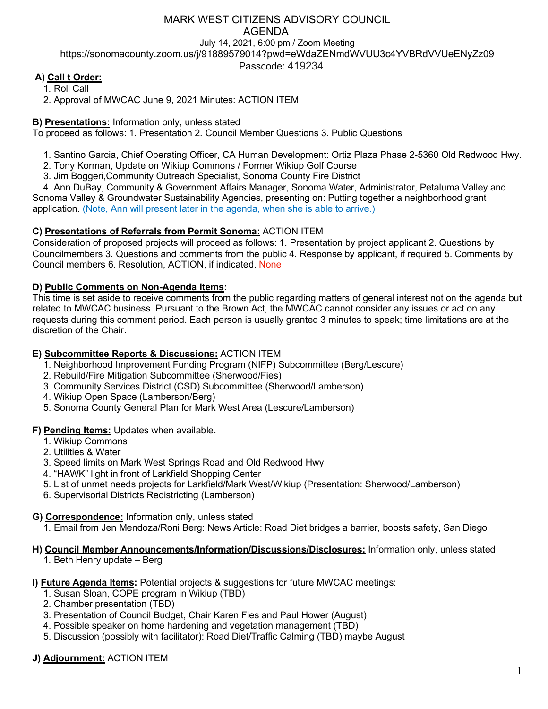# MARK WEST CITIZENS ADVISORY COUNCIL AGENDA

July 14, 2021, 6:00 pm / Zoom Meeting https://sonomacounty.zoom.us/j/91889579014?pwd=eWdaZENmdWVUU3c4YVBRdVVUeENyZz09

Passcode: 419234

# **A) Call t Order:**

1. Roll Call

2. Approval of MWCAC June 9, 2021 Minutes: ACTION ITEM

## **B) Presentations:** Information only, unless stated

To proceed as follows: 1. Presentation 2. Council Member Questions 3. Public Questions

- 1. Santino Garcia, Chief Operating Officer, CA Human Development: Ortiz Plaza Phase 2-5360 Old Redwood Hwy.
- 2. Tony Korman, Update on Wikiup Commons / Former Wikiup Golf Course
- 3. Jim Boggeri,Community Outreach Specialist, Sonoma County Fire District

4. Ann DuBay, Community & Government Affairs Manager, Sonoma Water, Administrator, Petaluma Valley and Sonoma Valley & Groundwater Sustainability Agencies, presenting on: Putting together a neighborhood grant application. (Note, Ann will present later in the agenda, when she is able to arrive.)

## **C) Presentations of Referrals from Permit Sonoma:** ACTION ITEM

Consideration of proposed projects will proceed as follows: 1. Presentation by project applicant 2. Questions by Councilmembers 3. Questions and comments from the public 4. Response by applicant, if required 5. Comments by Council members 6. Resolution, ACTION, if indicated. None

## **D) Public Comments on Non-Agenda Items:**

This time is set aside to receive comments from the public regarding matters of general interest not on the agenda but related to MWCAC business. Pursuant to the Brown Act, the MWCAC cannot consider any issues or act on any requests during this comment period. Each person is usually granted 3 minutes to speak; time limitations are at the discretion of the Chair.

## **E) Subcommittee Reports & Discussions:** ACTION ITEM

- 1. Neighborhood Improvement Funding Program (NIFP) Subcommittee (Berg/Lescure)
- 2. Rebuild/Fire Mitigation Subcommittee (Sherwood/Fies)
- 3. Community Services District (CSD) Subcommittee (Sherwood/Lamberson)
- 4. Wikiup Open Space (Lamberson/Berg)
- 5. Sonoma County General Plan for Mark West Area (Lescure/Lamberson)

## **F) Pending Items:** Updates when available.

- 1. Wikiup Commons
- 2. Utilities & Water
- 3. Speed limits on Mark West Springs Road and Old Redwood Hwy
- 4. "HAWK" light in front of Larkfield Shopping Center
- 5. List of unmet needs projects for Larkfield/Mark West/Wikiup (Presentation: Sherwood/Lamberson)
- 6. Supervisorial Districts Redistricting (Lamberson)

#### **G) Correspondence:** Information only, unless stated

1. Email from Jen Mendoza/Roni Berg: News Article: Road Diet bridges a barrier, boosts safety, San Diego

#### **H) Council Member Announcements/Information/Discussions/Disclosures:** Information only, unless stated 1. Beth Henry update – Berg

## **I) Future Agenda Items:** Potential projects & suggestions for future MWCAC meetings:

- 1. Susan Sloan, COPE program in Wikiup (TBD)
- 2. Chamber presentation (TBD)
- 3. Presentation of Council Budget, Chair Karen Fies and Paul Hower (August)
- 4. Possible speaker on home hardening and vegetation management (TBD)
- 5. Discussion (possibly with facilitator): Road Diet/Traffic Calming (TBD) maybe August

## **J) Adjournment:** ACTION ITEM